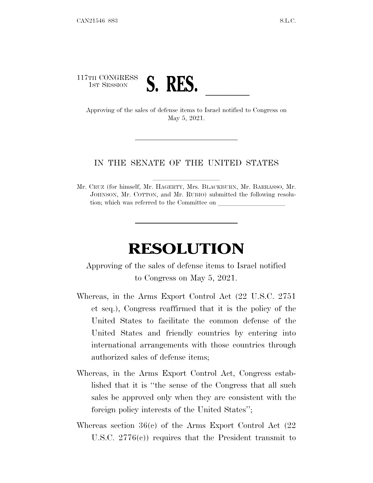## 117TH CONGRESS TH CONGRESS **S. RES.**<br>Approving of the sales of defense items to Israel notified to Congress on

May 5, 2021.

## IN THE SENATE OF THE UNITED STATES

Mr. CRUZ (for himself, Mr. HAGERTY, Mrs. BLACKBURN, Mr. BARRASSO, Mr. JOHNSON, Mr. COTTON, and Mr. RUBIO) submitted the following resolution; which was referred to the Committee on

## **RESOLUTION**

Approving of the sales of defense items to Israel notified to Congress on May 5, 2021.

- Whereas, in the Arms Export Control Act (22 U.S.C. 2751 et seq.), Congress reaffirmed that it is the policy of the United States to facilitate the common defense of the United States and friendly countries by entering into international arrangements with those countries through authorized sales of defense items;
- Whereas, in the Arms Export Control Act, Congress established that it is ''the sense of the Congress that all such sales be approved only when they are consistent with the foreign policy interests of the United States'';
- Whereas section 36(c) of the Arms Export Control Act (22 U.S.C. 2776(c)) requires that the President transmit to